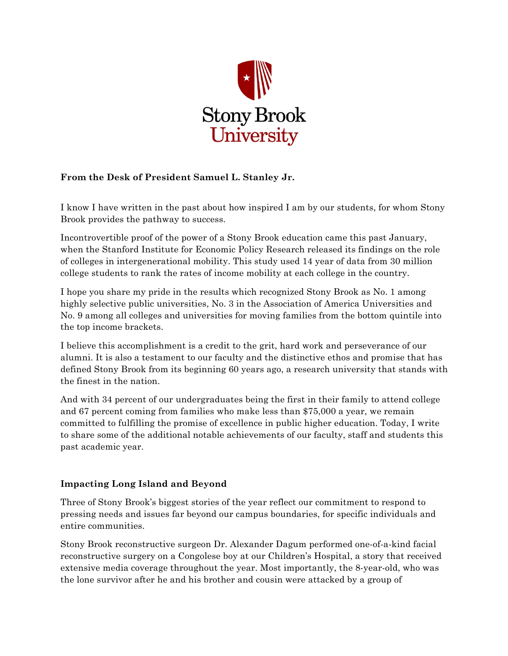

# **From the Desk of President Samuel L. Stanley Jr.**

I know I have written in the past about how inspired I am by our students, for whom Stony Brook provides the pathway to success.

Incontrovertible proof of the power of a Stony Brook education came this past January, when the Stanford Institute for Economic Policy Research released its findings on the role of colleges in intergenerational mobility. This study used 14 year of data from 30 million college students to rank the rates of income mobility at each college in the country.

I hope you share my pride in the results which recognized Stony Brook as No. 1 among highly selective public universities, No. 3 in the Association of America Universities and No. 9 among all colleges and universities for moving families from the bottom quintile into the top income brackets.

I believe this accomplishment is a credit to the grit, hard work and perseverance of our alumni. It is also a testament to our faculty and the distinctive ethos and promise that has defined Stony Brook from its beginning 60 years ago, a research university that stands with the finest in the nation.

And with 34 percent of our undergraduates being the first in their family to attend college and 67 percent coming from families who make less than \$75,000 a year, we remain committed to fulfilling the promise of excellence in public higher education. Today, I write to share some of the additional notable achievements of our faculty, staff and students this past academic year.

# **Impacting Long Island and Beyond**

Three of Stony Brook's biggest stories of the year reflect our commitment to respond to pressing needs and issues far beyond our campus boundaries, for specific individuals and entire communities.

Stony Brook reconstructive surgeon Dr. Alexander Dagum performed one-of-a-kind facial reconstructive surgery on a Congolese boy at our Children's Hospital, a story that received extensive media coverage throughout the year. Most importantly, the 8-year-old, who was the lone survivor after he and his brother and cousin were attacked by a group of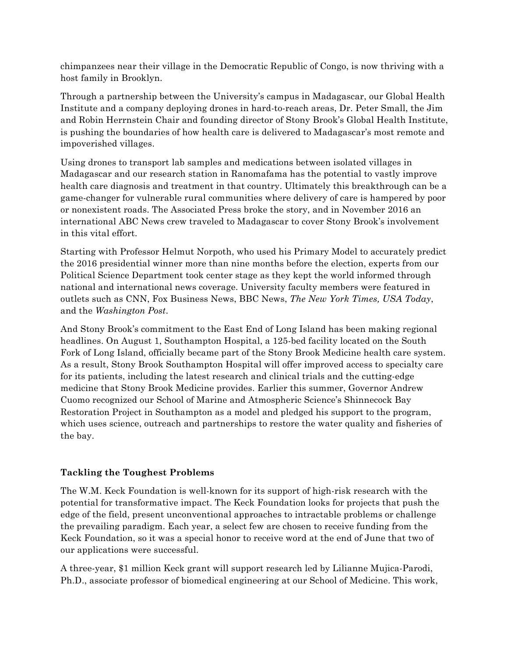chimpanzees near their village in the Democratic Republic of Congo, is now thriving with a host family in Brooklyn.

Through a partnership between the University's campus in Madagascar, our Global Health Institute and a company deploying drones in hard-to-reach areas, Dr. Peter Small, the Jim and Robin Herrnstein Chair and founding director of Stony Brook's Global Health Institute, is pushing the boundaries of how health care is delivered to Madagascar's most remote and impoverished villages.

Using drones to transport lab samples and medications between isolated villages in Madagascar and our research station in Ranomafama has the potential to vastly improve health care diagnosis and treatment in that country. Ultimately this breakthrough can be a game-changer for vulnerable rural communities where delivery of care is hampered by poor or nonexistent roads. The Associated Press broke the story, and in November 2016 an international ABC News crew traveled to Madagascar to cover Stony Brook's involvement in this vital effort.

Starting with Professor Helmut Norpoth, who used his Primary Model to accurately predict the 2016 presidential winner more than nine months before the election, experts from our Political Science Department took center stage as they kept the world informed through national and international news coverage. University faculty members were featured in outlets such as CNN, Fox Business News, BBC News, *The New York Times, USA Today*, and the *Washington Post*.

And Stony Brook's commitment to the East End of Long Island has been making regional headlines. On August 1, Southampton Hospital, a 125-bed facility located on the South Fork of Long Island, officially became part of the Stony Brook Medicine health care system. As a result, Stony Brook Southampton Hospital will offer improved access to specialty care for its patients, including the latest research and clinical trials and the cutting-edge medicine that Stony Brook Medicine provides. Earlier this summer, Governor Andrew Cuomo recognized our School of Marine and Atmospheric Science's Shinnecock Bay Restoration Project in Southampton as a model and pledged his support to the program, which uses science, outreach and partnerships to restore the water quality and fisheries of the bay.

#### **Tackling the Toughest Problems**

The W.M. Keck Foundation is well-known for its support of high-risk research with the potential for transformative impact. The Keck Foundation looks for projects that push the edge of the field, present unconventional approaches to intractable problems or challenge the prevailing paradigm. Each year, a select few are chosen to receive funding from the Keck Foundation, so it was a special honor to receive word at the end of June that two of our applications were successful.

A three-year, \$1 million Keck grant will support research led by Lilianne Mujica-Parodi, Ph.D., associate professor of biomedical engineering at our School of Medicine. This work,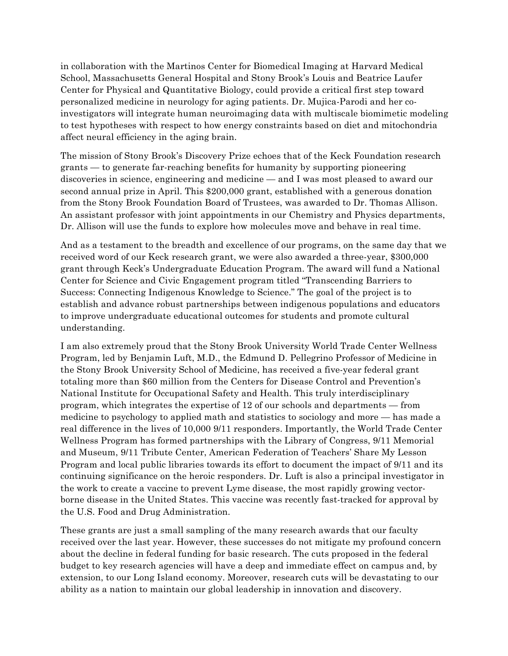in collaboration with the Martinos Center for Biomedical Imaging at Harvard Medical School, Massachusetts General Hospital and Stony Brook's Louis and Beatrice Laufer Center for Physical and Quantitative Biology, could provide a critical first step toward personalized medicine in neurology for aging patients. Dr. Mujica-Parodi and her coinvestigators will integrate human neuroimaging data with multiscale biomimetic modeling to test hypotheses with respect to how energy constraints based on diet and mitochondria affect neural efficiency in the aging brain.

The mission of Stony Brook's Discovery Prize echoes that of the Keck Foundation research grants — to generate far-reaching benefits for humanity by supporting pioneering discoveries in science, engineering and medicine — and I was most pleased to award our second annual prize in April. This \$200,000 grant, established with a generous donation from the Stony Brook Foundation Board of Trustees, was awarded to Dr. Thomas Allison. An assistant professor with joint appointments in our Chemistry and Physics departments, Dr. Allison will use the funds to explore how molecules move and behave in real time.

And as a testament to the breadth and excellence of our programs, on the same day that we received word of our Keck research grant, we were also awarded a three-year, \$300,000 grant through Keck's Undergraduate Education Program. The award will fund a National Center for Science and Civic Engagement program titled "Transcending Barriers to Success: Connecting Indigenous Knowledge to Science." The goal of the project is to establish and advance robust partnerships between indigenous populations and educators to improve undergraduate educational outcomes for students and promote cultural understanding.

I am also extremely proud that the Stony Brook University World Trade Center Wellness Program, led by Benjamin Luft, M.D., the Edmund D. Pellegrino Professor of Medicine in the Stony Brook University School of Medicine, has received a five-year federal grant totaling more than \$60 million from the Centers for Disease Control and Prevention's National Institute for Occupational Safety and Health. This truly interdisciplinary program, which integrates the expertise of 12 of our schools and departments — from medicine to psychology to applied math and statistics to sociology and more — has made a real difference in the lives of 10,000 9/11 responders. Importantly, the World Trade Center Wellness Program has formed partnerships with the Library of Congress, 9/11 Memorial and Museum, 9/11 Tribute Center, American Federation of Teachers' Share My Lesson Program and local public libraries towards its effort to document the impact of 9/11 and its continuing significance on the heroic responders. Dr. Luft is also a principal investigator in the work to create a vaccine to prevent Lyme disease, the most rapidly growing vectorborne disease in the United States. This vaccine was recently fast-tracked for approval by the U.S. Food and Drug Administration.

These grants are just a small sampling of the many research awards that our faculty received over the last year. However, these successes do not mitigate my profound concern about the decline in federal funding for basic research. The cuts proposed in the federal budget to key research agencies will have a deep and immediate effect on campus and, by extension, to our Long Island economy. Moreover, research cuts will be devastating to our ability as a nation to maintain our global leadership in innovation and discovery.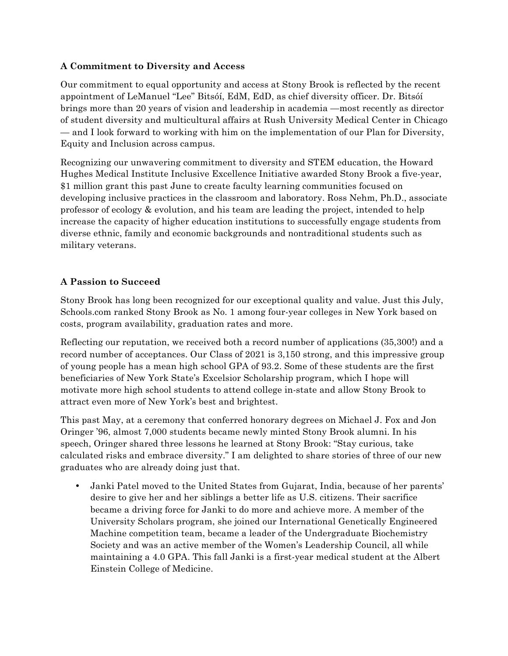# **A Commitment to Diversity and Access**

Our commitment to equal opportunity and access at Stony Brook is reflected by the recent appointment of LeManuel "Lee" Bitsóí, EdM, EdD, as chief diversity officer. Dr. Bitsóí brings more than 20 years of vision and leadership in academia —most recently as director of student diversity and multicultural affairs at Rush University Medical Center in Chicago — and I look forward to working with him on the implementation of our Plan for Diversity, Equity and Inclusion across campus.

Recognizing our unwavering commitment to diversity and STEM education, the Howard Hughes Medical Institute Inclusive Excellence Initiative awarded Stony Brook a five-year, \$1 million grant this past June to create faculty learning communities focused on developing inclusive practices in the classroom and laboratory. Ross Nehm, Ph.D., associate professor of ecology & evolution, and his team are leading the project, intended to help increase the capacity of higher education institutions to successfully engage students from diverse ethnic, family and economic backgrounds and nontraditional students such as military veterans.

# **A Passion to Succeed**

Stony Brook has long been recognized for our exceptional quality and value. Just this July, Schools.com ranked Stony Brook as No. 1 among four-year colleges in New York based on costs, program availability, graduation rates and more.

Reflecting our reputation, we received both a record number of applications (35,300!) and a record number of acceptances. Our Class of 2021 is 3,150 strong, and this impressive group of young people has a mean high school GPA of 93.2. Some of these students are the first beneficiaries of New York State's Excelsior Scholarship program, which I hope will motivate more high school students to attend college in-state and allow Stony Brook to attract even more of New York's best and brightest.

This past May, at a ceremony that conferred honorary degrees on Michael J. Fox and Jon Oringer '96, almost 7,000 students became newly minted Stony Brook alumni. In his speech, Oringer shared three lessons he learned at Stony Brook: "Stay curious, take calculated risks and embrace diversity." I am delighted to share stories of three of our new graduates who are already doing just that.

• Janki Patel moved to the United States from Gujarat, India, because of her parents' desire to give her and her siblings a better life as U.S. citizens. Their sacrifice became a driving force for Janki to do more and achieve more. A member of the University Scholars program, she joined our International Genetically Engineered Machine competition team, became a leader of the Undergraduate Biochemistry Society and was an active member of the Women's Leadership Council, all while maintaining a 4.0 GPA. This fall Janki is a first-year medical student at the Albert Einstein College of Medicine.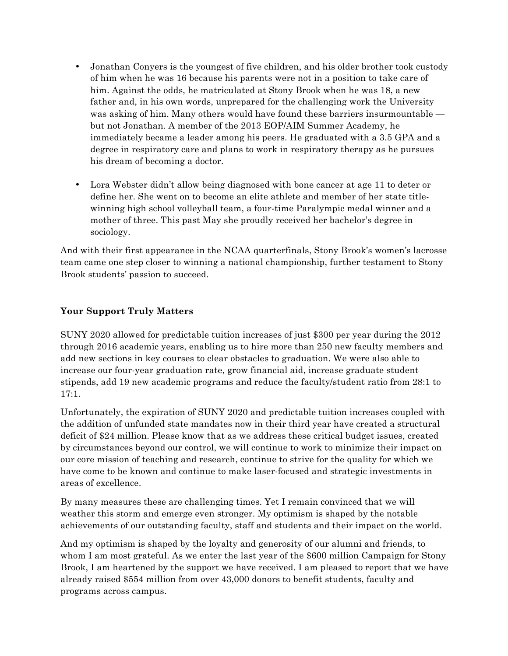- Jonathan Conyers is the youngest of five children, and his older brother took custody of him when he was 16 because his parents were not in a position to take care of him. Against the odds, he matriculated at Stony Brook when he was 18, a new father and, in his own words, unprepared for the challenging work the University was asking of him. Many others would have found these barriers insurmountable but not Jonathan. A member of the 2013 EOP/AIM Summer Academy, he immediately became a leader among his peers. He graduated with a 3.5 GPA and a degree in respiratory care and plans to work in respiratory therapy as he pursues his dream of becoming a doctor.
- Lora Webster didn't allow being diagnosed with bone cancer at age 11 to deter or define her. She went on to become an elite athlete and member of her state titlewinning high school volleyball team, a four-time Paralympic medal winner and a mother of three. This past May she proudly received her bachelor's degree in sociology.

And with their first appearance in the NCAA quarterfinals, Stony Brook's women's lacrosse team came one step closer to winning a national championship, further testament to Stony Brook students' passion to succeed.

# **Your Support Truly Matters**

SUNY 2020 allowed for predictable tuition increases of just \$300 per year during the 2012 through 2016 academic years, enabling us to hire more than 250 new faculty members and add new sections in key courses to clear obstacles to graduation. We were also able to increase our four-year graduation rate, grow financial aid, increase graduate student stipends, add 19 new academic programs and reduce the faculty/student ratio from 28:1 to 17:1.

Unfortunately, the expiration of SUNY 2020 and predictable tuition increases coupled with the addition of unfunded state mandates now in their third year have created a structural deficit of \$24 million. Please know that as we address these critical budget issues, created by circumstances beyond our control, we will continue to work to minimize their impact on our core mission of teaching and research, continue to strive for the quality for which we have come to be known and continue to make laser-focused and strategic investments in areas of excellence.

By many measures these are challenging times. Yet I remain convinced that we will weather this storm and emerge even stronger. My optimism is shaped by the notable achievements of our outstanding faculty, staff and students and their impact on the world.

And my optimism is shaped by the loyalty and generosity of our alumni and friends, to whom I am most grateful. As we enter the last year of the \$600 million Campaign for Stony Brook, I am heartened by the support we have received. I am pleased to report that we have already raised \$554 million from over 43,000 donors to benefit students, faculty and programs across campus.